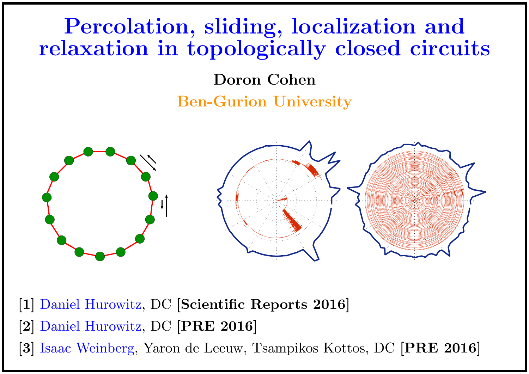# Percolation, sliding, localization and relaxation in topologically closed circuits

Doron Cohen

Ben-Gurion University



[1] Daniel Hurowitz, DC [Scientific Reports 2016]

- [2] Daniel Hurowitz, DC [PRE 2016]
- [3] Isaac Weinberg, Yaron de Leeuw, Tsampikos Kottos, DC [PRE 2016]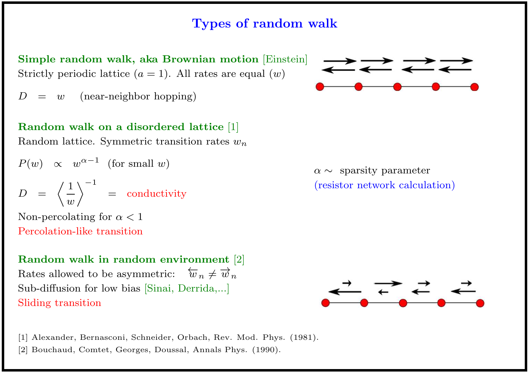# Types of random walk

Simple random walk, aka Brownian motion [Einstein] Strictly periodic lattice  $(a = 1)$ . All rates are equal  $(w)$ 

 $w$  (near-neighbor hopping)

# Random walk on a disordered lattice [1]

Random lattice. Symmetric transition rates  $w_n$ 

$$
P(w) \propto w^{\alpha - 1} \text{ (for small } w)
$$

$$
D = \left\langle \frac{1}{w} \right\rangle^{-1} = \text{conductivity}
$$

Non-percolating for  $\alpha < 1$ Percolation-like transition

Random walk in random environment [2] Rates allowed to be asymmetric:  $\omega_n \neq \omega_n$ Sub-diffusion for low bias [Sinai, Derrida,...] Sliding transition





[1] Alexander, Bernasconi, Schneider, Orbach, Rev. Mod. Phys. (1981).

[2] Bouchaud, Comtet, Georges, Doussal, Annals Phys. (1990).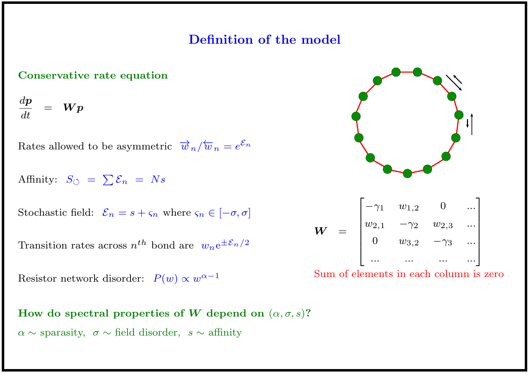## Definition of the model

#### Conservative rate equation

$$
\frac{d\bm{p}}{dt} = \bm{W}\bm{p}
$$

Rates allowed to be asymmetric  $\overrightarrow{w}_n/\overleftarrow{w}_n = e^{\mathcal{E}_n}$ 

Affinity:  $S_{\circlearrowleft} = \sum \mathcal{E}_n = Ns$ 

Stochastic field:  $\mathcal{E}_n = s + \varsigma_n$  where  $\varsigma_n \in [-\sigma, \sigma]$ 

Transition rates across  $n^{th}$  bond are  $w_n e^{\pm \mathcal{E}_n/2}$ 

Resistor network disorder:  $P(w) \propto w^{\alpha-1}$ 

How do spectral properties of W depend on  $(\alpha, \sigma, s)$ ?  $\alpha \sim$  sparasity,  $\sigma \sim$  field disorder,  $s \sim$  affinity



$$
\boldsymbol{W} = \begin{bmatrix} -\gamma_1 & w_{1,2} & 0 & \dots \\ w_{2,1} & -\gamma_2 & w_{2,3} & \dots \\ 0 & w_{3,2} & -\gamma_3 & \dots \\ \dots & \dots & \dots & \dots \end{bmatrix}
$$

Sum of elements in each column is zero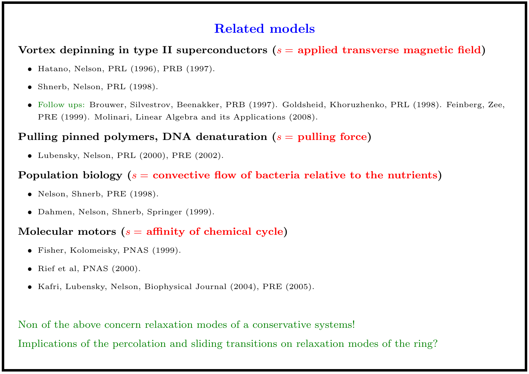## Related models

#### Vortex depinning in type II superconductors  $(s =$  applied transverse magnetic field)

- Hatano, Nelson, PRL (1996), PRB (1997).
- Shnerb, Nelson, PRL (1998).
- Follow ups: Brouwer, Silvestrov, Beenakker, PRB (1997). Goldsheid, Khoruzhenko, PRL (1998). Feinberg, Zee, PRE (1999). Molinari, Linear Algebra and its Applications (2008).

#### Pulling pinned polymers, DNA denaturation  $(s =$  pulling force)

• Lubensky, Nelson, PRL (2000), PRE (2002).

#### Population biology ( $s =$  convective flow of bacteria relative to the nutrients)

- Nelson, Shnerb, PRE (1998).
- Dahmen, Nelson, Shnerb, Springer (1999).

#### Molecular motors  $(s =$  affinity of chemical cycle)

- Fisher, Kolomeisky, PNAS (1999).
- Rief et al, PNAS (2000).
- Kafri, Lubensky, Nelson, Biophysical Journal (2004), PRE (2005).

Non of the above concern relaxation modes of a conservative systems! Implications of the percolation and sliding transitions on relaxation modes of the ring?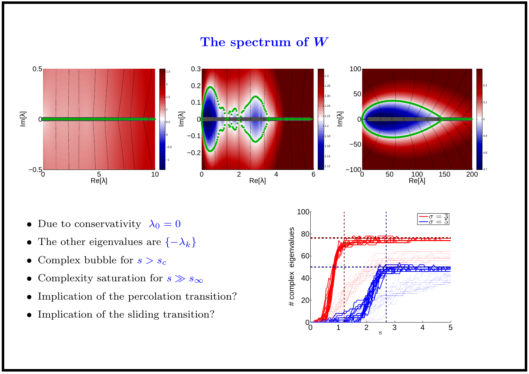## The spectrum of W



- Due to conservativity  $\lambda_0 = 0$
- The other eigenvalues are  $\{-\lambda_k\}$
- Complex bubble for  $s > s_c$
- Complexity saturation for  $s \gg s_{\infty}$
- Implication of the percolation transition?
- Implication of the sliding transition?

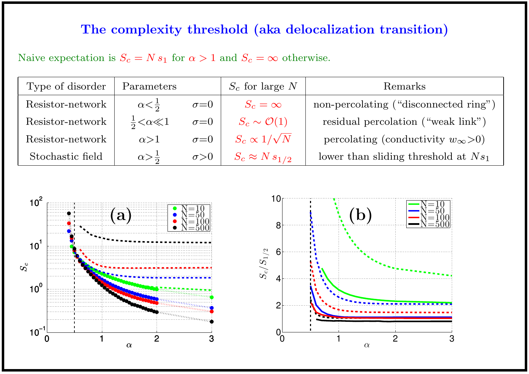# The complexity threshold (aka delocalization transition)

Naive expectation is  $S_c = N s_1$  for  $\alpha > 1$  and  $S_c = \infty$  otherwise.

| Type of disorder | Parameters                   |              | $S_c$ for large N         | Remarks                                      |
|------------------|------------------------------|--------------|---------------------------|----------------------------------------------|
| Resistor-network | $\alpha < \frac{1}{2}$       | $\sigma = 0$ | $S_c=\infty$              | non-percolating ("disconnected ring")        |
| Resistor-network | $\frac{1}{2} < \alpha \ll 1$ | $\sigma = 0$ | $S_c \sim \mathcal{O}(1)$ | residual percolation ("weak link")           |
| Resistor-network | $\alpha > 1$                 | $\sigma = 0$ | $S_c \propto 1/\sqrt{N}$  | percolating (conductivity $w_{\infty} > 0$ ) |
| Stochastic field | $\alpha > \frac{1}{2}$       | $\sigma > 0$ | $S_c \approx N s_{1/2}$   | lower than sliding threshold at $Ns_1$       |



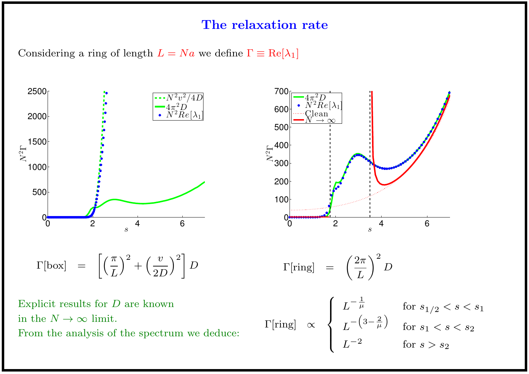#### The relaxation rate

Considering a ring of length  $L = Na$  we define  $\Gamma \equiv \text{Re}[\lambda_1]$ 



From the analysis of the spectrum we deduce:

$$
L^{-2} \qquad \qquad \text{for } s > s_2
$$

 $\overline{\mathcal{L}}$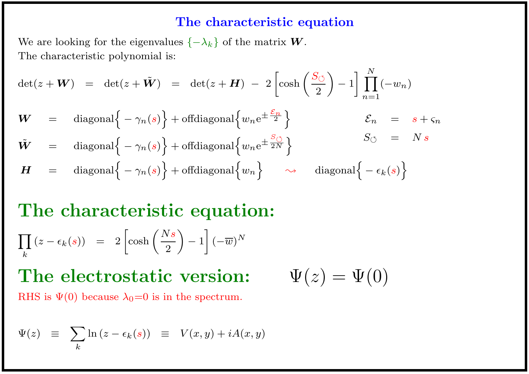# The characteristic equation

We are looking for the eigenvalues  $\{-\lambda_k\}$  of the matrix  $\boldsymbol{W}$ . The characteristic polynomial is:

$$
\det(z + \mathbf{W}) = \det(z + \tilde{\mathbf{W}}) = \det(z + \mathbf{H}) - 2\left[\cosh\left(\frac{S_{\circlearrowleft}}{2}\right) - 1\right] \prod_{n=1}^{N} (-w_n)
$$

$$
W = \text{diagonal}\left\{-\gamma_n(s)\right\} + \text{offdiagonal}\left\{w_n e^{\pm \frac{\mathcal{E}_n}{2}}\right\} \qquad \qquad \mathcal{E}_n = s + \varsigma_n
$$

$$
\tilde{\mathbf{W}} = \text{diagonal}\left\{-\gamma_n(s)\right\} + \text{offdiagonal}\left\{w_n e^{\pm \frac{S_{\circlearrowleft}}{2N}}\right\} \n\mathbf{H} = \text{diagonal}\left\{-\gamma_n(s)\right\} + \text{offdiagonal}\left\{w_n\right\} \sim \text{diagonal}\left\{-\epsilon_k(s)\right\}
$$

The characteristic equation:  
\n
$$
\prod_{k} (z - \epsilon_{k}(s)) = 2 \left[ \cosh \left( \frac{Ns}{2} \right) - 1 \right] (-\overline{w})^{N}
$$

**The electrostatic version:** 
$$
\Psi(z) = \Psi(0)
$$
 RHS is  $\Psi(0)$  because  $\lambda_0 = 0$  is in the spectrum.

$$
\Psi(z) \equiv \sum_{k} \ln (z - \epsilon_k(s)) \equiv V(x, y) + iA(x, y)
$$

$$
\Psi(z)=\Psi(0)
$$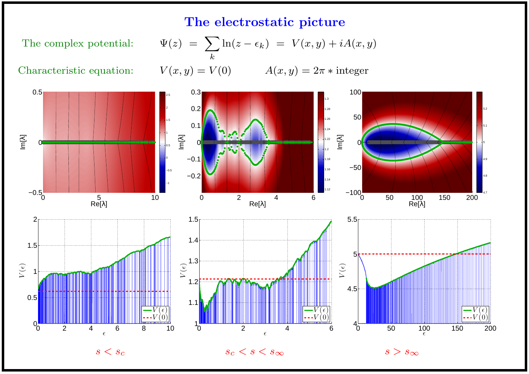## The electrostatic picture

The complex potential:  $\Psi$ 

$$
\Psi(z) = \sum_{k} \ln(z - \epsilon_k) = V(x, y) + iA(x, y)
$$

$$
V(x, y) = V(0) \qquad A(x, y) = 2\pi * \text{integer}
$$

Characteristic equation: V



 $\epsilon$ 

 $s < s_c$  subsets the set of  $s_c < s < s_\infty$  set of  $s > s_\infty$ 

 $\epsilon$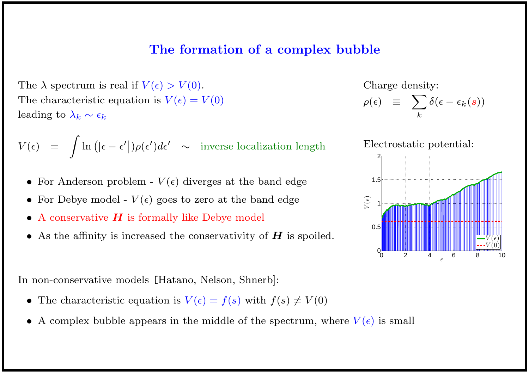#### The formation of a complex bubble

The  $\lambda$  spectrum is real if  $V(\epsilon) > V(0)$ . The characteristic equation is  $V(\epsilon) = V(0)$ leading to  $\lambda_k \sim \epsilon_k$ 

$$
V(\epsilon) = \int \ln(|\epsilon - \epsilon'|)\rho(\epsilon')d\epsilon' \sim \text{ inverse localization length}
$$

- For Anderson problem  $V(\epsilon)$  diverges at the band edge
- For Debye model  $V(\epsilon)$  goes to zero at the band edge
- A conservative  $H$  is formally like Debye model
- As the affinity is increased the conservativity of  $H$  is spoiled.

In non-conservative models [Hatano, Nelson, Shnerb]:

- The characteristic equation is  $V(\epsilon) = f(s)$  with  $f(s) \neq V(0)$
- A complex bubble appears in the middle of the spectrum, where  $V(\epsilon)$  is small

Charge density:  $\rho(\epsilon) \equiv \sum$ k  $\delta(\epsilon - \epsilon_k(s))$ 

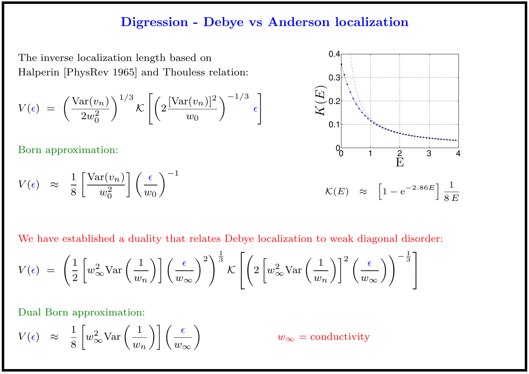#### Digression - Debye vs Anderson localization

The inverse localization length based on Halperin [PhysRev 1965] and Thouless relation:

$$
V(\epsilon) = \left(\frac{\text{Var}(v_n)}{2w_0^2}\right)^{1/3} \mathcal{K}\left[\left(2\frac{[\text{Var}(v_n)]^2}{w_0}\right)^{-1/3} \epsilon\right]
$$

Born approximation:

$$
V(\epsilon) \approx \frac{1}{8} \left[ \frac{\text{Var}(v_n)}{w_0^2} \right] \left( \frac{\epsilon}{w_0} \right)^{-1}
$$



We have established a duality that relates Debye localization to weak diagonal disorder:

$$
V(\epsilon) = \left(\frac{1}{2} \left[w_{\infty}^2 \text{Var}\left(\frac{1}{w_n}\right)\right] \left(\frac{\epsilon}{w_{\infty}}\right)^2\right)^{\frac{1}{3}} \mathcal{K}\left[\left(2 \left[w_{\infty}^2 \text{Var}\left(\frac{1}{w_n}\right)\right]^2 \left(\frac{\epsilon}{w_{\infty}}\right)\right)^{-\frac{1}{3}}\right]
$$

Dual Born approximation:

$$
V(\epsilon) \approx \frac{1}{8} \left[ w_{\infty}^2 \text{Var}\left(\frac{1}{w_n}\right) \right] \left(\frac{\epsilon}{w_{\infty}}\right)
$$

 $w_{\infty} =$  conductivity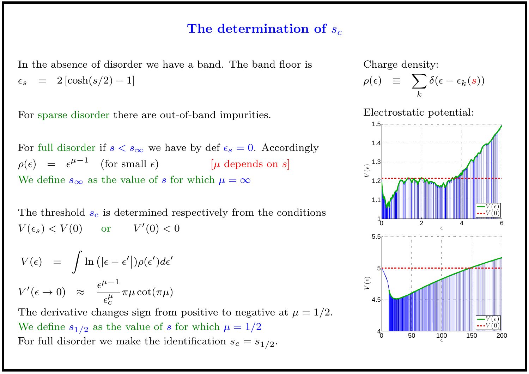## The determination of  $s_c$

In the absence of disorder we have a band. The band floor is  $\epsilon_s$  = 2  $[\cosh(s/2) - 1]$ 

For sparse disorder there are out-of-band impurities.

For full disorder if  $s < s_{\infty}$  we have by def  $\epsilon_s = 0$ . Accordingly  $\rho(\epsilon) = \epsilon^{\mu-1}$  (for small  $\epsilon$ ) [ $\mu$  depends on s] We define  $s_{\infty}$  as the value of s for which  $\mu = \infty$ 

The threshold  $s_c$  is determined respectively from the conditions  $V(\epsilon_s) < V(0)$  or  $V'(0) < 0$ 

$$
V(\epsilon) = \int \ln \left( |\epsilon - \epsilon'| \right) \rho(\epsilon') d\epsilon'
$$
  

$$
V'(\epsilon \to 0) \approx \frac{\epsilon^{\mu - 1}}{\epsilon_c^{\mu}} \pi \mu \cot(\pi \mu)
$$

The derivative changes sign from positive to negative at  $\mu = 1/2$ . We define  $s_{1/2}$  as the value of s for which  $\mu = 1/2$ For full disorder we make the identification  $s_c = s_{1/2}$ .

Charge density:

$$
\rho(\epsilon) \equiv \sum_{k} \delta(\epsilon - \epsilon_{k}(s))
$$

Electrostatic potential:

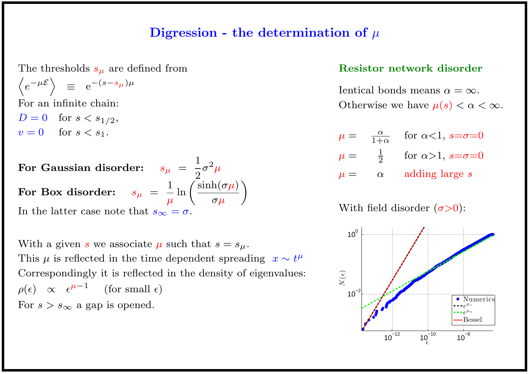#### Digression - the determination of  $\mu$

The thresholds  $s_{\mu}$  are defined from  $\left\langle e^{-\mu \mathcal{E}}\right\rangle \equiv e^{-(s-s_{\mu})\mu}$ 

For an infinite chain:

 $D = 0$  for  $s < s_{1/2}$ ,  $v=0$  for  $s < s_1$ .

For Gaussian disorder:  $\quad s_{\mu} \; = \;$ 1 2  $\sigma^2\mu$ For Box disorder:  $\quad s_{\mu} \: = \:$ 1  $\mu$  $\ln \left( \frac{\sinh(\sigma \mu)}{\sigma} \right)$  $\sigma \mu$  $\setminus$ 

In the latter case note that  $s_{\infty} = \sigma$ .

With a given s we associate  $\mu$  such that  $s = s_{\mu}$ . This  $\mu$  is reflected in the time dependent spreading  $x \sim t^{\mu}$ Correspondingly it is reflected in the density of eigenvalues:  $\rho(\epsilon) \;\;\propto\;\;\epsilon^{\mu-1}$ (for small  $\epsilon$ ) For  $s > s_{\infty}$  a gap is opened.

#### Resistor network disorder

Ientical bonds means  $\alpha = \infty$ . Otherwise we have  $\mu(s) < \alpha < \infty$ .

$$
\mu = \frac{\alpha}{1+\alpha} \quad \text{for } \alpha < 1, s = \sigma = 0
$$
  

$$
\mu = \frac{1}{2} \quad \text{for } \alpha > 1, s = \sigma = 0
$$
  

$$
\mu = \alpha \quad \text{adding large } s
$$

With field disorder  $(\sigma > 0)$ :

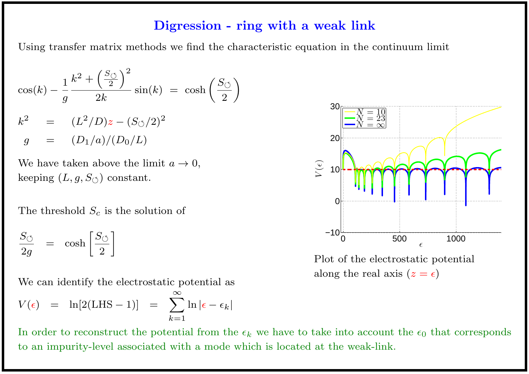#### Digression - ring with a weak link

Using transfer matrix methods we find the characteristic equation in the continuum limit

$$
\cos(k) - \frac{1}{g} \frac{k^2 + \left(\frac{S_{\circlearrowleft}}{2}\right)^2}{2k} \sin(k) = \cosh\left(\frac{S_{\circlearrowleft}}{2}\right)\right)
$$
  

$$
k^2 = (L^2/D)z - (S_{\circlearrowleft}/2)^2
$$
  

$$
g = (D_1/a)/(D_0/L)
$$

We have taken above the limit  $a \to 0$ , keeping  $(L, g, S_{\circlearrowleft})$  constant.

The threshold  $S_c$  is the solution of

$$
\frac{S_{\circlearrowleft}}{2g} \;\; = \;\; \cosh \left[ \frac{S_{\circlearrowleft}}{2} \right] \right]
$$

We can identify the electrostatic potential as  $V(\epsilon) = \ln[2(LHS - 1)] = \sum$ ∞  $\ln |\epsilon - \epsilon_k|$ 

 $k=1$ 





Plot of the electrostatic potential along the real axis  $(z = \epsilon)$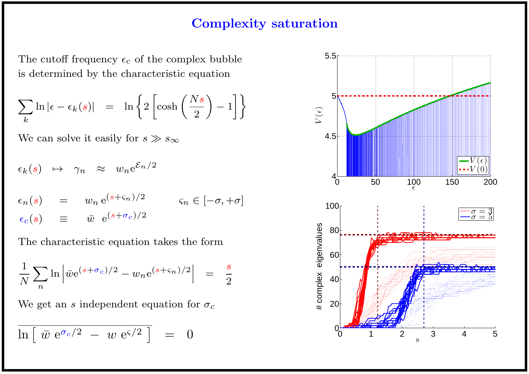## Complexity saturation

The cutoff frequency  $\epsilon_c$  of the complex bubble is determined by the characteristic equation

$$
\sum_{k} \ln |\epsilon - \epsilon_{k}(s)| = \ln \left\{ 2 \left[ \cosh \left( \frac{Ns}{2} \right) - 1 \right] \right\}
$$

We can solve it easily for  $s \gg s_{\infty}$ 

$$
\epsilon_k(s) \mapsto \gamma_n \approx w_n e^{\mathcal{E}_n/2}
$$
  
\n
$$
\epsilon_n(s) = w_n e^{(s+\varsigma_n)/2} \qquad \varsigma_n \in [-\sigma, +\sigma]
$$
  
\n
$$
\epsilon_c(s) \equiv \bar{w} e^{(s+\sigma_c)/2}
$$

The characteristic equation takes the form

$$
\frac{1}{N} \sum_{n} \ln \left| \bar{w} e^{(s+\sigma_c)/2} - w_n e^{(s+\varsigma_n)/2} \right| = \frac{s}{2}
$$

We get an s independent equation for  $\sigma_c$ 

$$
\overline{\ln\left[\ \bar{w} \ \mathrm{e}^{\sigma_c/2} \ - \ w \ \mathrm{e}^{\varsigma/2} \ \right]} \ = \ 0
$$